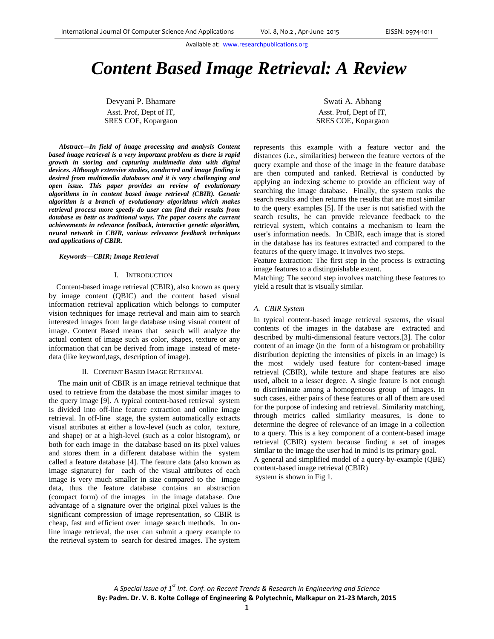# *Content Based Image Retrieval: A Review*

Devyani P. Bhamare Asst. Prof, Dept of IT, SRES COE, Kopargaon

*Abstract***—***In field of image processing and analysis Content based image retrieval is a very important problem as there is rapid growth in storing and capturing multimedia data with digital devices. Although extensive studies, conducted and image finding is desired from multimedia databases and it is very challenging and open issue. This paper provides an review of evolutionary algorithms in in content based image retrieval (CBIR). Genetic algorithm is a branch of evolutionary algorithms which makes retrieval process more speedy do user can find their results from database as bettr as traditional ways. The paper covers the current achievements in relevance feedback, interactive genetic algorithm, neural network in CBIR, various relevance feedback techniques and applications of CBIR.*

#### *Keywords—CBIR; Image Retrieval*

# I. INTRODUCTION

 Content-based image retrieval (CBIR), also known as query by image content (QBIC) and the content based visual information retrieval application which belongs to computer vision techniques for image retrieval and main aim to search interested images from large database using visual content of image. Content Based means that search will analyze the actual content of image such as color, shapes, texture or any information that can be derived from image instead of metedata (like keyword,tags, description of image).

#### II. CONTENT BASED IMAGE RETRIEVAL

 The main unit of CBIR is an image retrieval technique that used to retrieve from the database the most similar images to the query image [9]. A typical content-based retrieval system is divided into off-line feature extraction and online image retrieval. In off-line stage, the system automatically extracts visual attributes at either a low-level (such as color, texture, and shape) or at a high-level (such as a color histogram), or both for each image in the database based on its pixel values and stores them in a different database within the system called a feature database [4]. The feature data (also known as image signature) for each of the visual attributes of each image is very much smaller in size compared to the image data, thus the feature database contains an abstraction (compact form) of the images in the image database. One advantage of a signature over the original pixel values is the significant compression of image representation, so CBIR is cheap, fast and efficient over image search methods. In online image retrieval, the user can submit a query example to the retrieval system to search for desired images. The system

Swati A. Abhang Asst. Prof, Dept of IT, SRES COE, Kopargaon

represents this example with a feature vector and the distances (i.e., similarities) between the feature vectors of the query example and those of the image in the feature database are then computed and ranked. Retrieval is conducted by applying an indexing scheme to provide an efficient way of searching the image database. Finally, the system ranks the search results and then returns the results that are most similar to the query examples [5]. If the user is not satisfied with the search results, he can provide relevance feedback to the retrieval system, which contains a mechanism to learn the user's information needs. In CBIR, each image that is stored in the database has its features extracted and compared to the features of the query image. It involves two steps.

Feature Extraction: The first step in the process is extracting image features to a distinguishable extent.

Matching: The second step involves matching these features to yield a result that is visually similar.

#### *A. CBIR System*

In typical content-based image retrieval systems, the visual contents of the images in the database are extracted and described by multi-dimensional feature vectors.[3]. The color content of an image (in the form of a histogram or probability distribution depicting the intensities of pixels in an image) is the most widely used feature for content-based image retrieval (CBIR), while texture and shape features are also used, albeit to a lesser degree. A single feature is not enough to discriminate among a homogeneous group of images. In such cases, either pairs of these features or all of them are used for the purpose of indexing and retrieval. Similarity matching, through metrics called similarity measures, is done to determine the degree of relevance of an image in a collection to a query. This is a key component of a content-based image retrieval (CBIR) system because finding a set of images similar to the image the user had in mind is its primary goal. A general and simplified model of a query-by-example (QBE) content-based image retrieval (CBIR) system is shown in Fig 1.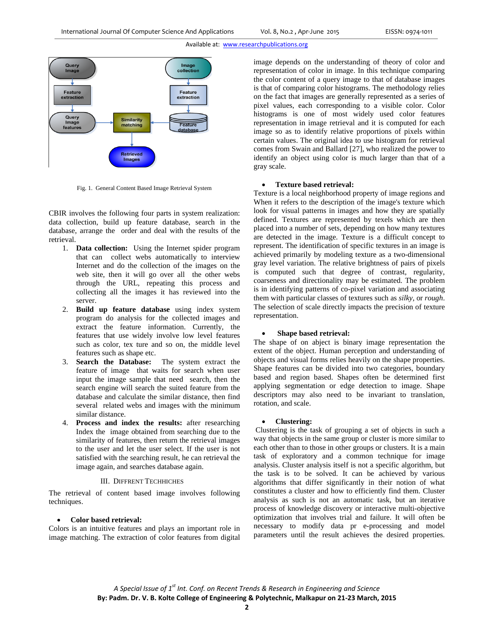

Fig. 1. General Content Based Image Retrieval System

CBIR involves the following four parts in system realization: data collection, build up feature database, search in the database, arrange the order and deal with the results of the retrieval.

- 1. **Data collection:** Using the Internet spider program that can collect webs automatically to interview Internet and do the collection of the images on the web site, then it will go over all the other webs through the URL, repeating this process and collecting all the images it has reviewed into the server.
- 2. **Build up feature database** using index system program do analysis for the collected images and extract the feature information. Currently, the features that use widely involve low level features such as color, tex ture and so on, the middle level features such as shape etc.
- 3. **Search the Database:** The system extract the feature of image that waits for search when user input the image sample that need search, then the search engine will search the suited feature from the database and calculate the similar distance, then find several related webs and images with the minimum similar distance.
- 4. **Process and index the results:** after researching Index the image obtained from searching due to the similarity of features, then return the retrieval images to the user and let the user select. If the user is not satisfied with the searching result, he can retrieval the image again, and searches database again.

#### III. DIFFRENT TECHHICHES

The retrieval of content based image involves following techniques.

# **Color based retrieval:**

Colors is an intuitive features and plays an important role in image matching. The extraction of color features from digital

image depends on the understanding of theory of color and representation of color in image. In this technique comparing the color content of a query image to that of database images is that of comparing color histograms. The methodology relies on the fact that images are generally represented as a series of pixel values, each corresponding to a visible color. Color histograms is one of most widely used color features representation in image retrieval and it is computed for each image so as to identify relative proportions of pixels within certain values. The original idea to use histogram for retrieval comes from Swain and Ballard [27], who realized the power to identify an object using color is much larger than that of a gray scale.

#### **Texture based retrieval:**

Texture is a local neighborhood property of image regions and When it refers to the description of the image's texture which look for visual patterns in images and how they are spatially defined. Textures are represented by texels which are then placed into a number of sets, depending on how many textures are detected in the image. Texture is a difficult concept to represent. The identification of specific textures in an image is achieved primarily by modeling texture as a two-dimensional gray level variation. The relative brightness of pairs of pixels is computed such that degree of contrast, regularity, coarseness and directionality may be estimated. The problem is in identifying patterns of co-pixel variation and associating them with particular classes of textures such as *silky*, or *rough*. The selection of scale directly impacts the precision of texture representation.

# **Shape based retrieval:**

The shape of on abject is binary image representation the extent of the object. Human perception and understanding of objects and visual forms relies heavily on the shape properties. Shape features can be divided into two categories, boundary based and region based. Shapes often be determined first applying segmentation or edge detection to image. Shape descriptors may also need to be invariant to translation, rotation, and scale.

# **Clustering:**

Clustering is the task of grouping a set of objects in such a way that objects in the same group or cluster is more similar to each other than to those in other groups or clusters. It is a main task of exploratory and a common technique for image analysis. Cluster analysis itself is not a specific algorithm, but the task is to be solved. It can be achieved by various algorithms that differ significantly in their notion of what constitutes a cluster and how to efficiently find them. Cluster analysis as such is not an automatic task, but an iterative process of knowledge discovery or interactive multi-objective optimization that involves trial and failure. It will often be necessary to modify data pr e-processing and model parameters until the result achieves the desired properties.

*A Special Issue of 1st Int. Conf. on Recent Trends & Research in Engineering and Science* **By: Padm. Dr. V. B. Kolte College of Engineering & Polytechnic, Malkapur on 21‐23 March, 2015**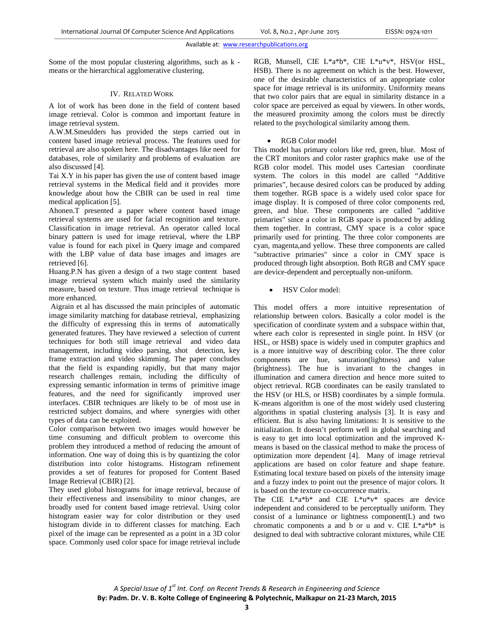Some of the most popular clustering algorithms, such as k means or the hierarchical agglomerative clustering.

## IV. RELATED WORK

A lot of work has been done in the field of content based image retrieval. Color is common and important feature in image retrieval system.

A.W.M.Smeulders has provided the steps carried out in content based image retrieval process. The features used for retrieval are also spoken here. The disadvantages like need for databases, role of similarity and problems of evaluation are also discussed [4].

Tai X.Y in his paper has given the use of content based image retrieval systems in the Medical field and it provides more knowledge about how the CBIR can be used in real time medical application [5].

Ahonen.T presented a paper where content based image retrieval systems are used for facial recognition and texture. Classification in image retrieval. An operator called local binary pattern is used for image retrieval, where the LBP value is found for each pixel in Query image and compared with the LBP value of data base images and images are retrieved [6].

Huang.P.N has given a design of a two stage content based image retrieval system which mainly used the similarity measure, based on texture. Thus image retrieval technique is more enhanced.

 Aigrain et al has discussed the main principles of automatic image similarity matching for database retrieval, emphasizing the difficulty of expressing this in terms of automatically generated features. They have reviewed a selection of current techniques for both still image retrieval and video data management, including video parsing, shot detection, key frame extraction and video skimming. The paper concludes that the field is expanding rapidly, but that many major research challenges remain, including the difficulty of expressing semantic information in terms of primitive image features, and the need for significantly improved user interfaces. CBIR techniques are likely to be of most use in restricted subject domains, and where synergies with other types of data can be exploited.

Color comparison between two images would however be time consuming and difficult problem to overcome this problem they introduced a method of reducing the amount of information. One way of doing this is by quantizing the color distribution into color histograms. Histogram refinement provides a set of features for proposed for Content Based Image Retrieval (CBIR) [2].

They used global histograms for image retrieval, because of their effectiveness and insensibility to minor changes, are broadly used for content based image retrieval. Using color histogram easier way for color distribution or they used histogram divide in to different classes for matching. Each pixel of the image can be represented as a point in a 3D color space. Commonly used color space for image retrieval include

RGB, Munsell, CIE L\*a\*b\*, CIE L\*u\*v\*, HSV(or HSL, HSB). There is no agreement on which is the best. However, one of the desirable characteristics of an appropriate color space for image retrieval is its uniformity. Uniformity means that two color pairs that are equal in similarity distance in a color space are perceived as equal by viewers. In other words, the measured proximity among the colors must be directly related to the psychological similarity among them.

# RGB Color model

This model has primary colors like red, green, blue. Most of the CRT monitors and color raster graphics make use of the RGB color model. This model uses Cartesian coordinate system. The colors in this model are called "Additive primaries", because desired colors can be produced by adding them together. RGB space is a widely used color space for image display. It is composed of three color components red, green, and blue. These components are called "additive primaries" since a color in RGB space is produced by adding them together. In contrast, CMY space is a color space primarily used for printing. The three color components are cyan, magenta,and yellow. These three components are called "subtractive primaries" since a color in CMY space is produced through light absorption. Both RGB and CMY space are device-dependent and perceptually non-uniform.

HSV Color model:

This model offers a more intuitive representation of relationship between colors. Basically a color model is the specification of coordinate system and a subspace within that, where each color is represented in single point. In HSV (or HSL, or HSB) space is widely used in computer graphics and is a more intuitive way of describing color. The three color components are hue, saturation(lightness) and value (brightness). The hue is invariant to the changes in illumination and camera direction and hence more suited to object retrieval. RGB coordinates can be easily translated to the HSV (or HLS, or HSB) coordinates by a simple formula. K-means algorithm is one of the most widely used clustering algorithms in spatial clustering analysis [3]. It is easy and efficient. But is also having limitations: It is sensitive to the initialization. It doesn't perform well in global searching and is easy to get into local optimization and the improved Kmeans is based on the classical method to make the process of optimization more dependent [4]. Many of image retrieval applications are based on color feature and shape feature. Estimating local texture based on pixels of the intensity image and a fuzzy index to point out the presence of major colors. It is based on the texture co-occurrence matrix.

The CIE L\*a\*b\* and CIE L\*u\*v\* spaces are device independent and considered to be perceptually uniform. They consist of a luminance or lightness component(L) and two chromatic components a and b or u and v. CIE  $L^*a^*b^*$  is designed to deal with subtractive colorant mixtures, while CIE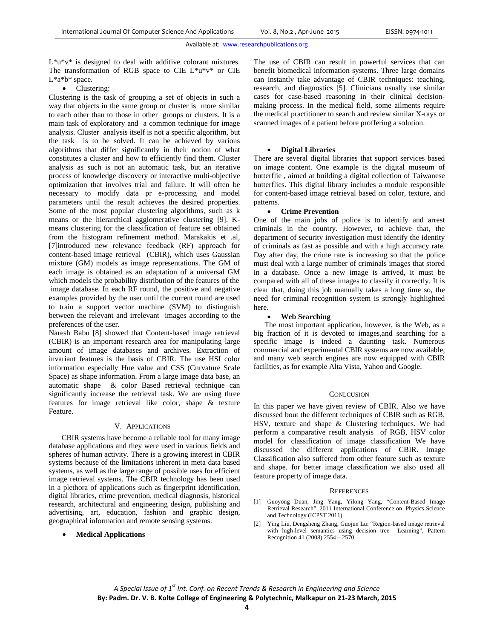L\*u\*v\* is designed to deal with additive colorant mixtures. The transformation of RGB space to CIE L\*u\*v\* or CIE L\*a\*b\* space.

• Clustering:

Clustering is the task of grouping a set of objects in such a way that objects in the same group or cluster is more similar to each other than to those in other groups or clusters. It is a main task of exploratory and a common technique for image analysis. Cluster analysis itself is not a specific algorithm, but the task is to be solved. It can be achieved by various algorithms that differ significantly in their notion of what constitutes a cluster and how to efficiently find them. Cluster analysis as such is not an automatic task, but an iterative process of knowledge discovery or interactive multi-objective optimization that involves trial and failure. It will often be necessary to modify data pr e-processing and model parameters until the result achieves the desired properties. Some of the most popular clustering algorithms, such as k means or the hierarchical agglomerative clustering [9]. Kmeans clustering for the classification of feature set obtained from the histogram refinement method. Marakakis et .al, [7]introduced new relevance feedback (RF) approach for content-based image retrieval (CBIR), which uses Gaussian mixture (GM) models as image representations. The GM of each image is obtained as an adaptation of a universal GM which models the probability distribution of the features of the image database. In each RF round, the positive and negative examples provided by the user until the current round are used to train a support vector machine (SVM) to distinguish between the relevant and irrelevant images according to the preferences of the user.

Naresh Babu [8] showed that Content-based image retrieval (CBIR) is an important research area for manipulating large amount of image databases and archives. Extraction of invariant features is the basis of CBIR. The use HSI color information especially Hue value and CSS (Curvature Scale Space) as shape information. From a large image data base, an automatic shape & color Based retrieval technique can significantly increase the retrieval task. We are using three features for image retrieval like color, shape & texture Feature.

# V. APPLICATIONS

 CBIR systems have become a reliable tool for many image database applications and they were used in various fields and spheres of human activity. There is a growing interest in CBIR systems because of the limitations inherent in meta data based systems, as well as the large range of possible uses for efficient image retrieval systems. The CBIR technology has been used in a plethora of applications such as fingerprint identification, digital libraries, crime prevention, medical diagnosis, historical research, architectural and engineering design, publishing and advertising, art, education, fashion and graphic design, geographical information and remote sensing systems.

## **Medical Applications**

The use of CBIR can result in powerful services that can benefit biomedical information systems. Three large domains can instantly take advantage of CBIR techniques: teaching, research, and diagnostics [5]. Clinicians usually use similar cases for case-based reasoning in their clinical decisionmaking process. In the medical field, some ailments require the medical practitioner to search and review similar X-rays or scanned images of a patient before proffering a solution.

#### **Digital Libraries**

There are several digital libraries that support services based on image content. One example is the digital museum of butterflie , aimed at building a digital collection of Taiwanese butterflies. This digital library includes a module responsible for content-based image retrieval based on color, texture, and patterns.

#### **Crime Prevention**

One of the main jobs of police is to identify and arrest criminals in the country. However, to achieve that, the department of security investigation must identify the identity of criminals as fast as possible and with a high accuracy rate. Day after day, the crime rate is increasing so that the police must deal with a large number of criminals images that stored in a database. Once a new image is arrived, it must be compared with all of these images to classify it correctly. It is clear that, doing this job manually takes a long time so, the need for criminal recognition system is strongly highlighted here.

#### **Web Searching**

The most important application, however, is the Web, as a big fraction of it is devoted to images,and searching for a specific image is indeed a daunting task. Numerous commercial and experimental CBIR systems are now available, and many web search engines are now equipped with CBIR facilities, as for example Alta Vista, Yahoo and Google.

## **CONLCUSION**

In this paper we have given review of CBIR. Also we have discussed bout the different techniques of CBIR such as RGB, HSV, texture and shape & Clustering techniques. We had perform a comparative result analysis of RGB, HSV color model for classification of image classification We have discussed the different applications of CBIR. Image Classification also suffered from other feature such as texture and shape. for better image classification we also used all feature property of image data.

#### **REFERENCES**

- [1] Guoyong Duan, Jing Yang, Yilong Yang, "Content-Based Image Retrieval Research", 2011 International Conference on Physics Science and Technology (ICPST 2011)
- [2] Ying Liu, Dengsheng Zhang, Guojun Lu: "Region-based image retrieval with high-level semantics using decision tree Learning", Pattern Recognition 41 (2008) 2554 – 2570

*A Special Issue of 1st Int. Conf. on Recent Trends & Research in Engineering and Science* **By: Padm. Dr. V. B. Kolte College of Engineering & Polytechnic, Malkapur on 21‐23 March, 2015**